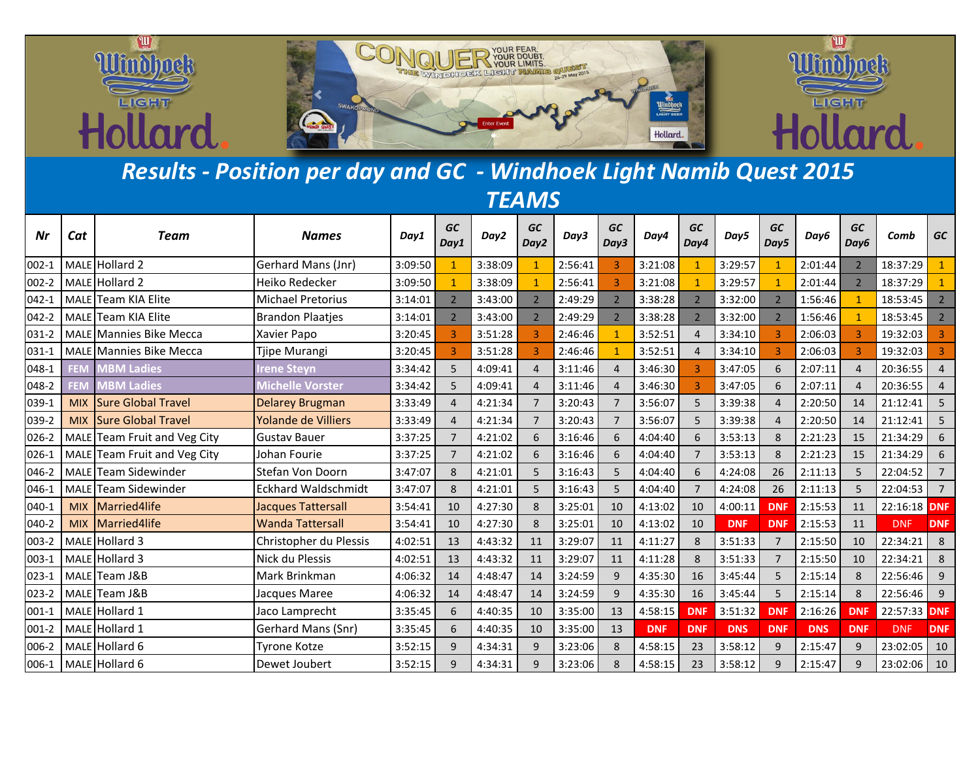

## *Results - Position per day and GC - Windhoek Light Namib Quest 2015 TEAMS*

| Nr        | Cat         | Team                           | <b>Names</b>               | Day1    | <b>GC</b><br>Day1 | Day2    | GC<br>Day2     | Day3    | <b>GC</b><br>Day3        | Day4       | GC<br>Day4     | Day5       | <b>GC</b><br>Day5        | Day6       | <b>GC</b><br>Day6 | Comb         | <b>GC</b>      |
|-----------|-------------|--------------------------------|----------------------------|---------|-------------------|---------|----------------|---------|--------------------------|------------|----------------|------------|--------------------------|------------|-------------------|--------------|----------------|
| $002-1$   |             | MALE Hollard 2                 | Gerhard Mans (Jnr)         | 3:09:50 | $\overline{1}$    | 3:38:09 |                | 2:56:41 |                          | 3:21:08    |                | 3:29:57    |                          | 2:01:44    | $\overline{2}$    | 18:37:29     |                |
| 002-2     |             | MALE Hollard 2                 | Heiko Redecker             | 3:09:50 | $\overline{1}$    | 3:38:09 | $\mathbf{1}$   | 2:56:41 | $\overline{3}$           | 3:21:08    | $\mathbf{1}$   | 3:29:57    |                          | 2:01:44    | $\mathcal{P}$     | 18:37:29     |                |
| $042 - 1$ | <b>MALE</b> | <b>Team KIA Elite</b>          | <b>Michael Pretorius</b>   | 3:14:01 | $\overline{2}$    | 3:43:00 | $\overline{2}$ | 2:49:29 | $\overline{2}$           | 3:38:28    | 2 <sup>2</sup> | 3:32:00    | $\overline{2}$           | 1:56:46    |                   | 18:53:45     | $2^{\circ}$    |
| 042-2     | <b>MALE</b> | <b>Team KIA Elite</b>          | <b>Brandon Plaatjes</b>    | 3:14:01 | $\overline{2}$    | 3:43:00 | $\overline{2}$ | 2:49:29 | $\overline{\phantom{a}}$ | 3:38:28    | 2 <sup>2</sup> | 3:32:00    | $\overline{\phantom{a}}$ | 1:56:46    |                   | 18:53:45     | 2 <sup>7</sup> |
| 031-2     | <b>MALE</b> | Mannies Bike Mecca             | Xavier Papo                | 3:20:45 | 3                 | 3:51:28 |                | 2:46:46 |                          | 3:52:51    | $\overline{4}$ | 3:34:10    |                          | 2:06:03    |                   | 19:32:03     |                |
| 031-1     |             | <b>MALE</b> Mannies Bike Mecca | Tjipe Murangi              | 3:20:45 | $\overline{3}$    | 3:51:28 | 3              | 2:46:46 |                          | 3:52:51    | $\overline{4}$ | 3:34:10    | $\overline{3}$           | 2:06:03    | 3                 | 19:32:03     |                |
| 048-1     | FEM         | <b>MBM Ladies</b>              | <b>Irene Steyn</b>         | 3:34:42 | 5                 | 4:09:41 | $\overline{4}$ | 3:11:46 | $\Delta$                 | 3:46:30    | $\overline{3}$ | 3:47:05    | 6                        | 2:07:11    | $\overline{4}$    | 20:36:55     | $\overline{4}$ |
| 048-2     | FEM         | <b>MBM Ladies</b>              | <b>Michelle Vorster</b>    | 3:34:42 | 5                 | 4:09:41 | $\overline{4}$ | 3:11:46 | $\overline{a}$           | 3:46:30    | 3              | 3:47:05    | 6                        | 2:07:11    | $\overline{4}$    | 20:36:55     | 4              |
| 039-1     | <b>MIX</b>  | <b>Sure Global Travel</b>      | <b>Delarey Brugman</b>     | 3:33:49 | $\overline{4}$    | 4:21:34 | $\overline{7}$ | 3:20:43 | $\overline{7}$           | 3:56:07    | 5              | 3:39:38    | $\Delta$                 | 2:20:50    | 14                | 21:12:41     | 5              |
| 039-2     | <b>MIX</b>  | <b>Sure Global Travel</b>      | <b>Yolande de Villiers</b> | 3:33:49 | $\overline{4}$    | 4:21:34 | $\overline{7}$ | 3:20:43 | $\overline{7}$           | 3:56:07    | 5              | 3:39:38    | $\overline{a}$           | 2:20:50    | 14                | 21:12:41     | 5              |
| 026-2     | <b>MALE</b> | Team Fruit and Veg City        | <b>Gustav Bauer</b>        | 3:37:25 | $\overline{7}$    | 4:21:02 | 6              | 3:16:46 | 6                        | 4:04:40    | 6              | 3:53:13    | 8                        | 2:21:23    | 15                | 21:34:29     | 6              |
| 026-1     | <b>MALE</b> | Team Fruit and Veg City        | Johan Fourie               | 3:37:25 | $\overline{7}$    | 4:21:02 | 6              | 3:16:46 | 6                        | 4:04:40    | $\overline{7}$ | 3:53:13    | 8                        | 2:21:23    | 15                | 21:34:29     | 6              |
| 046-2     | MALE        | Team Sidewinder                | Stefan Von Doorn           | 3:47:07 | 8                 | 4:21:01 | 5              | 3:16:43 | 5                        | 4:04:40    | 6              | 4:24:08    | 26                       | 2:11:13    | 5                 | 22:04:52     | $\overline{7}$ |
| 046-1     | <b>MALE</b> | Team Sidewinder                | <b>Eckhard Waldschmidt</b> | 3:47:07 | 8                 | 4:21:01 | 5              | 3:16:43 | 5                        | 4:04:40    | $\overline{7}$ | 4:24:08    | 26                       | 2:11:13    | 5                 | 22:04:53     | $\overline{7}$ |
| 040-1     | <b>MIX</b>  | Married4life                   | <b>Jacques Tattersall</b>  | 3:54:41 | 10                | 4:27:30 | 8              | 3:25:01 | 10                       | 4:13:02    | 10             | 4:00:11    | <b>DNF</b>               | 2:15:53    | 11                | 22:16:18 DNF |                |
| 040-2     | <b>MIX</b>  | Married4life                   | <b>Wanda Tattersall</b>    | 3:54:41 | 10                | 4:27:30 | 8              | 3:25:01 | 10                       | 4:13:02    | 10             | <b>DNF</b> | <b>DNF</b>               | 2:15:53    | 11                | <b>DNF</b>   | <b>DNF</b>     |
| 003-2     |             | MALE Hollard 3                 | Christopher du Plessis     | 4:02:51 | 13                | 4:43:32 | 11             | 3:29:07 | 11                       | 4:11:27    | 8              | 3:51:33    | $\overline{7}$           | 2:15:50    | 10                | 22:34:21     | 8              |
| 003-1     |             | MALE Hollard 3                 | Nick du Plessis            | 4:02:51 | 13                | 4:43:32 | 11             | 3:29:07 | 11                       | 4:11:28    | 8              | 3:51:33    | 7                        | 2:15:50    | 10                | 22:34:21     | 8              |
| 023-1     |             | MALE Team J&B                  | Mark Brinkman              | 4:06:32 | 14                | 4:48:47 | 14             | 3:24:59 | 9                        | 4:35:30    | 16             | 3:45:44    | 5                        | 2:15:14    | 8                 | 22:56:46     | 9              |
| 023-2     | <b>MALE</b> | Team J&B                       | Jacques Maree              | 4:06:32 | 14                | 4:48:47 | 14             | 3:24:59 | 9                        | 4:35:30    | 16             | 3:45:44    | 5                        | 2:15:14    | 8                 | 22:56:46     | 9              |
| $001-1$   |             | MALE Hollard 1                 | Jaco Lamprecht             | 3:35:45 | 6                 | 4:40:35 | 10             | 3:35:00 | 13                       | 4:58:15    | <b>DNF</b>     | 3:51:32    | <b>DNF</b>               | 2:16:26    | <b>DNF</b>        | 22:57:33 DNF |                |
| 001-2     |             | MALE Hollard 1                 | Gerhard Mans (Snr)         | 3:35:45 | 6                 | 4:40:35 | 10             | 3:35:00 | 13                       | <b>DNF</b> | <b>DNF</b>     | <b>DNS</b> | <b>DNF</b>               | <b>DNS</b> | <b>DNF</b>        | <b>DNF</b>   | <b>DNF</b>     |
| 006-2     |             | MALE Hollard 6                 | <b>Tyrone Kotze</b>        | 3:52:15 | 9                 | 4:34:31 | 9              | 3:23:06 | 8                        | 4:58:15    | 23             | 3:58:12    | 9                        | 2:15:47    | 9                 | 23:02:05     | 10             |
| 006-1     |             | MALE Hollard 6                 | Dewet Joubert              | 3:52:15 | 9                 | 4:34:31 | $\mathbf{q}$   | 3:23:06 | 8                        | 4:58:15    | 23             | 3:58:12    | 9                        | 2:15:47    | $\mathbf{q}$      | 23:02:06     | 10             |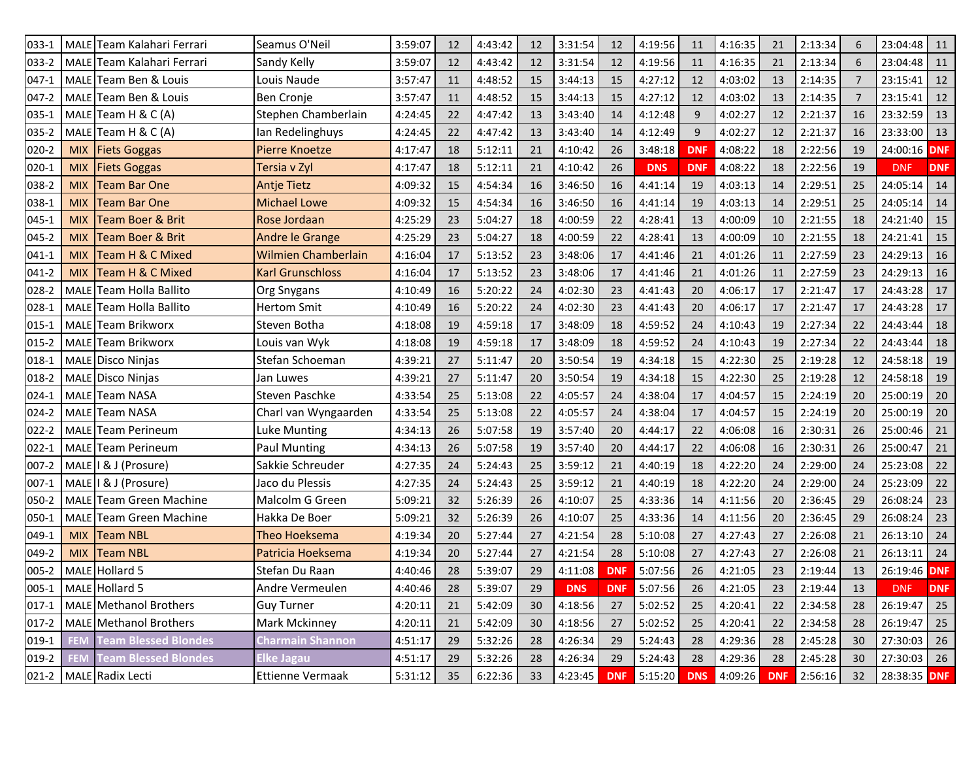| 033-1     | MALE        | <b>Team Kalahari Ferrari</b>     | Seamus O'Neil              | 3:59:07 | 12 | 4:43:42 | 12 | 3:31:54    | 12         | 4:19:56    | 11         | 4:16:35 | 21         | 2:13:34 | 6              | 23:04:48      | 11         |
|-----------|-------------|----------------------------------|----------------------------|---------|----|---------|----|------------|------------|------------|------------|---------|------------|---------|----------------|---------------|------------|
| 033-2     |             | MALE Team Kalahari Ferrari       | Sandy Kelly                | 3:59:07 | 12 | 4:43:42 | 12 | 3:31:54    | 12         | 4:19:56    | 11         | 4:16:35 | 21         | 2:13:34 | 6              | 23:04:48 11   |            |
| 047-1     | MALE        | Team Ben & Louis                 | Louis Naude                | 3:57:47 | 11 | 4:48:52 | 15 | 3:44:13    | 15         | 4:27:12    | 12         | 4:03:02 | 13         | 2:14:35 | $\overline{7}$ | 23:15:41      | 12         |
| 047-2     | MALE        | Team Ben & Louis                 | Ben Cronje                 | 3:57:47 | 11 | 4:48:52 | 15 | 3:44:13    | 15         | 4:27:12    | 12         | 4:03:02 | 13         | 2:14:35 | $\overline{7}$ | 23:15:41      | 12         |
| 035-1     | MALE        | Team H & C (A)                   | Stephen Chamberlain        | 4:24:45 | 22 | 4:47:42 | 13 | 3:43:40    | 14         | 4:12:48    | 9          | 4:02:27 | 12         | 2:21:37 | 16             | 23:32:59 13   |            |
| 035-2     | MALE        | Team H & C (A)                   | Ian Redelinghuys           | 4:24:45 | 22 | 4:47:42 | 13 | 3:43:40    | 14         | 4:12:49    | 9          | 4:02:27 | 12         | 2:21:37 | 16             | 23:33:00      | 13         |
| $020 - 2$ | <b>MIX</b>  | <b>Fiets Goggas</b>              | <b>Pierre Knoetze</b>      | 4:17:47 | 18 | 5:12:11 | 21 | 4:10:42    | 26         | 3:48:18    | <b>DNF</b> | 4:08:22 | 18         | 2:22:56 | 19             | 24:00:16 DNF  |            |
| $020 - 1$ | <b>MIX</b>  | <b>Fiets Goggas</b>              | Tersia v Zyl               | 4:17:47 | 18 | 5:12:11 | 21 | 4:10:42    | 26         | <b>DNS</b> | <b>DNF</b> | 4:08:22 | 18         | 2:22:56 | 19             | <b>DNF</b>    | <b>DNF</b> |
| 038-2     | <b>MIX</b>  | <b>Team Bar One</b>              | <b>Antje Tietz</b>         | 4:09:32 | 15 | 4:54:34 | 16 | 3:46:50    | 16         | 4:41:14    | 19         | 4:03:13 | 14         | 2:29:51 | 25             | 24:05:14      | 14         |
| 038-1     | <b>MIX</b>  | <b>Team Bar One</b>              | <b>Michael Lowe</b>        | 4:09:32 | 15 | 4:54:34 | 16 | 3:46:50    | 16         | 4:41:14    | 19         | 4:03:13 | 14         | 2:29:51 | 25             | 24:05:14      | 14         |
| 045-1     | <b>MIX</b>  | <b>Team Boer &amp; Brit</b>      | Rose Jordaan               | 4:25:29 | 23 | 5:04:27 | 18 | 4:00:59    | 22         | 4:28:41    | 13         | 4:00:09 | 10         | 2:21:55 | 18             | 24:21:40      | $\vert$ 15 |
| 045-2     | <b>MIX</b>  | <b>Team Boer &amp; Brit</b>      | Andre le Grange            | 4:25:29 | 23 | 5:04:27 | 18 | 4:00:59    | 22         | 4:28:41    | 13         | 4:00:09 | 10         | 2:21:55 | 18             | 24:21:41      | 15         |
| $041-1$   | <b>MIX</b>  | <b>Team H &amp; C Mixed</b>      | <b>Wilmien Chamberlain</b> | 4:16:04 | 17 | 5:13:52 | 23 | 3:48:06    | 17         | 4:41:46    | 21         | 4:01:26 | 11         | 2:27:59 | 23             | 24:29:13      | 16         |
| 041-2     | <b>MIX</b>  | <b>Team H &amp; C Mixed</b>      | <b>Karl Grunschloss</b>    | 4:16:04 | 17 | 5:13:52 | 23 | 3:48:06    | 17         | 4:41:46    | 21         | 4:01:26 | 11         | 2:27:59 | 23             | 24:29:13      | 16         |
| 028-2     | MALI        | <b>Team Holla Ballito</b>        | Org Snygans                | 4:10:49 | 16 | 5:20:22 | 24 | 4:02:30    | 23         | 4:41:43    | 20         | 4:06:17 | 17         | 2:21:47 | 17             | 24:43:28      | 17         |
| $028 - 1$ | MALE        | Team Holla Ballito               | <b>Hertom Smit</b>         | 4:10:49 | 16 | 5:20:22 | 24 | 4:02:30    | 23         | 4:41:43    | 20         | 4:06:17 | 17         | 2:21:47 | 17             | 24:43:28 17   |            |
| 015-1     | MALE        | <b>Team Brikworx</b>             | Steven Botha               | 4:18:08 | 19 | 4:59:18 | 17 | 3:48:09    | 18         | 4:59:52    | 24         | 4:10:43 | 19         | 2:27:34 | 22             | 24:43:44      | 18         |
| $015 - 2$ | MALE        | <b>Team Brikworx</b>             | Louis van Wyk              | 4:18:08 | 19 | 4:59:18 | 17 | 3:48:09    | 18         | 4:59:52    | 24         | 4:10:43 | 19         | 2:27:34 | 22             | 24:43:44      | 18         |
| 018-1     | MALE        | Disco Ninjas                     | Stefan Schoeman            | 4:39:21 | 27 | 5:11:47 | 20 | 3:50:54    | 19         | 4:34:18    | 15         | 4:22:30 | 25         | 2:19:28 | 12             | 24:58:18      | 19         |
| 018-2     | MALE        | Disco Ninjas                     | Jan Luwes                  | 4:39:21 | 27 | 5:11:47 | 20 | 3:50:54    | 19         | 4:34:18    | 15         | 4:22:30 | 25         | 2:19:28 | 12             | 24:58:18      | 19         |
| $024-1$   | MALE        | <b>Team NASA</b>                 | Steven Paschke             | 4:33:54 | 25 | 5:13:08 | 22 | 4:05:57    | 24         | 4:38:04    | 17         | 4:04:57 | 15         | 2:24:19 | 20             | 25:00:19      | 20         |
| $024 - 2$ |             | MALE Team NASA                   | Charl van Wyngaarden       | 4:33:54 | 25 | 5:13:08 | 22 | 4:05:57    | 24         | 4:38:04    | 17         | 4:04:57 | 15         | 2:24:19 | 20             | 25:00:19      | 20         |
| $022 - 2$ | MALE        | Team Perineum                    | Luke Munting               | 4:34:13 | 26 | 5:07:58 | 19 | 3:57:40    | 20         | 4:44:17    | 22         | 4:06:08 | 16         | 2:30:31 | 26             | 25:00:46      | 21         |
| $022 - 1$ | MALE        | <b>Team Perineum</b>             | <b>Paul Munting</b>        | 4:34:13 | 26 | 5:07:58 | 19 | 3:57:40    | 20         | 4:44:17    | 22         | 4:06:08 | 16         | 2:30:31 | 26             | 25:00:47      | 21         |
| $007 - 2$ |             | MALE   & J (Prosure)             | Sakkie Schreuder           | 4:27:35 | 24 | 5:24:43 | 25 | 3:59:12    | 21         | 4:40:19    | 18         | 4:22:20 | 24         | 2:29:00 | 24             | 25:23:08      | 22         |
| $007-1$   | MALE        | I & J (Prosure)                  | Jaco du Plessis            | 4:27:35 | 24 | 5:24:43 | 25 | 3:59:12    | 21         | 4:40:19    | 18         | 4:22:20 | 24         | 2:29:00 | 24             | 25:23:09      | 22         |
| 050-2     | MALE        | Team Green Machine               | Malcolm G Green            | 5:09:21 | 32 | 5:26:39 | 26 | 4:10:07    | 25         | 4:33:36    | 14         | 4:11:56 | 20         | 2:36:45 | 29             | 26:08:24      | 23         |
| 050-1     | MALE        | <b>Team Green Machine</b>        | Hakka De Boer              | 5:09:21 | 32 | 5:26:39 | 26 | 4:10:07    | 25         | 4:33:36    | 14         | 4:11:56 | 20         | 2:36:45 | 29             | 26:08:24      | 23         |
| 049-1     | <b>MIX</b>  | <b>Team NBL</b>                  | Theo Hoeksema              | 4:19:34 | 20 | 5:27:44 | 27 | 4:21:54    | 28         | 5:10:08    | 27         | 4:27:43 | 27         | 2:26:08 | 21             | 26:13:10      | 24         |
| 049-2     | <b>MIX</b>  | <b>Team NBL</b>                  | Patricia Hoeksema          | 4:19:34 | 20 | 5:27:44 | 27 | 4:21:54    | 28         | 5:10:08    | 27         | 4:27:43 | 27         | 2:26:08 | 21             | 26:13:11      | 24         |
| 005-2     | <b>MALE</b> | Hollard 5                        | Stefan Du Raan             | 4:40:46 | 28 | 5:39:07 | 29 | 4:11:08    | <b>DNF</b> | 5:07:56    | 26         | 4:21:05 | 23         | 2:19:44 | 13             | 26:19:46 DNF  |            |
|           |             | 005-1 MALE Hollard 5             | Andre Vermeulen            | 4:40:46 | 28 | 5:39:07 | 29 | <b>DNS</b> | <b>DNF</b> | 5:07:56    | 26         | 4:21:05 | 23         | 2:19:44 | 13             | DNF           | <b>DNF</b> |
|           |             | 017-1   MALE   Methanol Brothers | <b>Guy Turner</b>          | 4:20:11 | 21 | 5:42:09 | 30 | 4:18:56    | 27         | 5:02:52    | 25         | 4:20:41 | 22         | 2:34:58 | 28             | 26:19:47 25   |            |
|           |             | 017-2   MALE Methanol Brothers   | Mark Mckinney              | 4:20:11 | 21 | 5:42:09 | 30 | 4:18:56    | 27         | 5:02:52    | 25         | 4:20:41 | 22         | 2:34:58 | 28             | 26:19:47 25   |            |
| 019-1     | <b>FEM</b>  | <b>Team Blessed Blondes</b>      | <b>Charmain Shannon</b>    | 4:51:17 | 29 | 5:32:26 | 28 | 4:26:34    | 29         | 5:24:43    | 28         | 4:29:36 | 28         | 2:45:28 | 30             | 27:30:03 26   |            |
| $019-2$   | <b>FEM</b>  | <b>Team Blessed Blondes</b>      | Elke Jagau                 | 4:51:17 | 29 | 5:32:26 | 28 | 4:26:34    | 29         | 5:24:43    | 28         | 4:29:36 | 28         | 2:45:28 | 30             | $27:30:03$ 26 |            |
|           |             | 021-2   MALE Radix Lecti         | Ettienne Vermaak           | 5:31:12 | 35 | 6:22:36 | 33 | 4:23:45    | <b>DNF</b> | 5:15:20    | <b>DNS</b> | 4:09:26 | <b>DNF</b> | 2:56:16 | 32             | 28:38:35 DNF  |            |